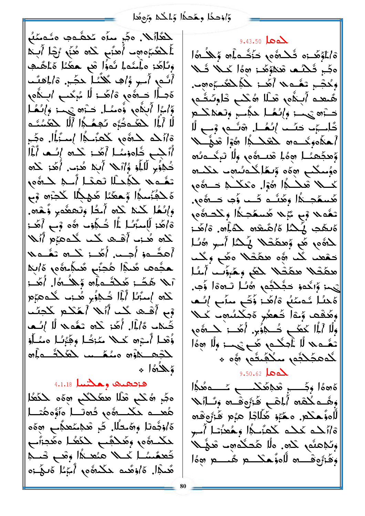وَأَوْحِدًا وِهَجِدًا وَلِمَحْدٍ وَرَوْهَا

لْمَعْلَٰٓٱللہُ. وَجُرِ مِلَّاهِ كُمْقُومِ وَشُوَمِّكُم لْمَحْمَّدُوهِ أَهْنُو كُلُّهُ هُنَّهُ رُجَّاً أَبْتَدَ وِنُاهُ: هِلْمُدَاءِ نُووُّا هُم حَمَّدُا هَاهُتِ أَنَّــْمِ أَسِرٍ وُٰاهِـ كَلَّـُـٰلِّـ دَخِّــْ. ةَالِمَاقِـنَّــ هُجِـاْا حَــِثَهُورٍ هُ/هُــَـزِ لَا يُرِيَّعِــمِ /بِـَدُّورٍ وَّاْمِرًا أَبَدُّهِ، وَّٰہمُاْ، حَـٰٓوَہ بَہٰمَ وَالْـٰهَـٰا لًا أَبَٰلَ كَعَدَدُوْهِ نَجِعُكُمَا أَلَّا كَعَنْنَدَ ة/ألحه لحدُّه للحَنَاطُ إسنَّأل وجَمِ أَأَكِبِ خُاهِفِسُا أَهَٰذٍ كُلُّهِ إِنَّـفَ أَبْلَا تُحْلِفُهِ لِّلْبُلُوْ وُإِنَّا لَا أَبَحْلَ هُدَى. أَهَّدَ لَكُلُو تعُـمـد حكَمْحـُلا تعمْـل أَسـم حـدةُم، ەَ كَجُنُسِمًا وَ مِعَنَا مَدِيْكَا كَجْنَرُ وَ ۖ وْإِيْجًا لِّكْنَا ۚ ݣَاهِ أَمْثَا وَتَعْعَدُ وَقَعْدَهُ. ةَ/هَٰذِ لَلۡمِنَزُـٰ ۖ لَٰٓا خُـٰکَٰٓذِ۔ ۞ُه فِۡٓ أَهَٰذ كَلُّه هُــزم أَفْسِهِ كَــم كَــمكرم أَأَلمَا أهشُــهِ أُجــب أهُـــز كَـــره تصُــه هجُّەم هُدڋَا هُجِنَّى هُدجُدهُو هَ/بَدْ ٱللہ هُڪُمْ هُلاَشُـه أَلهِ وَلِللَّـهُۚالِ اُهُــزَ لَكُلُّهِ }سَنَّئُلُ أَبْلَا شُكِفَّبِ هُـنِي كُـدِهِمْ وْمِ أَقْسِهِ كَمَدٍ أَأَلاً أَهْلَكُمْ كَلِّجِنَّمَدٍ خَىٰجَابِ وَآٰ مِنْ أَهُدِ كَلَّامٍ شَقُوحِهِ لَٰلَّا إِنَّــم ؤْهْدا أُسْرَه كَمَلا مُنْزَحُلَ وَهَّزُلُنَا مِمْلُو للأبعى للأؤه منكسب للظلف عأاه ۆ بلاُهُ اپ فاقتفتها وحضيا الهداء ەكْبِر شكْلُم شْلَا مْتَعْلَاكْلْمْ مِهْمَا لْلْكَعْدَا هُعْـــه حكْــــةُٯ دُهِنْــا هَأَوْهِهُـَــا ەُ/وَجُونا وِھَىتاًا. ثَمِ ھَجْسُعجَى ۞ەَه

حكْسةُه، وِهُلِّكُمْ لِلنَّهُـٰا هِ هُجَنَّب

كُعمَّسُــا كَـــلا عنْعــٰدًا وِتْعــو كَــــمِّـ

هُمِيْٓا. ۉٚ/ۏهُمه هكْدةُٯ أُمِيَّنَا ۉَىلُمْ :ه

ەكْبِ ثْكْلُـْ شْكَاوِّهُـْ; «ەْ كَـْلَا ثْـْلَا وَكُنْتِهِ تَعْسَمِيهِ أَهْدَ لِلْكُلِمُكُمْ وَمِينٍ هُـمحـه أَبِـٰذُه لَكَـه شَالَ اللَّهِ مَعْمَهِ نصْنَرْهِ بْهِمْسَرْ وَإِنْكُمْ لِمَكْتِمِ وَتَعْمَلُكُمْ وَ خُاسِبُ حَنَّــٰ النُعُــا. ۞شَــٰهِ وۡسَــِ لَٰا أحكَموكِ مِنْ الْمَعْلَمُ! هُوْا مْدَيْسَلا وَّهجُهمُــا هِهُا هُــــوُّه وِلَا نَبِكُـــونُه ەۇمىگىم ھەە ۆتىماگەئىھە تىكىھ كُمِلًا مُعْلَـٰئُمُّا هُوْلَ هُدَكَـٰهِ حَـٰهُمْ هُسمُجِــٰٰهُا وِهُنُــٰه کُــب ؤَجا حَــاهُ٥﴾. تَعُدِيهِ وَبِ يَبْدِ هُسَمَجِنَّا وِكْحَدَّةِهِ ەُىھُبْ يُحْلَّا ەُاھُىغْدە خەلُھ. ەُاھُــ; لِمَوْمٍ هُم وَمَعْضُلاً لَمِيكُمْ أَسِرٍ هُنُاً *َحَمْعَد* بَمْد رُهُ٥ مَکَتْمًا ٥مَد وِكْم ههُتْمًا ههُتُمَا لِمَعْ وِهُبِؤُبِ أَسُلًا يْ مَرْ ذُوْكُدُو حَجَّلاَجُو ۚ هُـُـٰلَ لَـٰهِ 10 وَّٰجِ. أَهْجَلًا شَمْعَكُمْ وَأَهُدَ وَّكُمْ مِلَاسٍ إِنَّـمَا وَهُقَمِ وُءًا تُعفُرِ هُجِكْسُوماً كَلَّا وَلَا أَلَمَا كَفَبٍ حُكُونُ لَا أَهُد: كَلْمَوْمِ تَعْسَمِيهِ لَمَا يُمْرِيَنِ مِصْرَةٍ لَمْ يَوْسَسْ مِنْ الْمُ يَوْسَسْ گەھكىلېم سىلېقى ۋە \*  $9.50.62$   $20$ كَاهِدًا وِجًـــــــو هُجْهُكُـــــــــــوهُكُمُّا وِهُــهِ كُـٰهُ، أَبْاهَــم فَـٰزُوفَــهِ وِنَــأَلَـلا لْلُوزُهِكُمْ. وَهُبُوْ هُلُلُهُا هِبُمْ فَزُوْوَقُو ة/ألحم كحكم للحَنْكُما وِحُعدُتا أُسِو وَنُجْعَنُهِ ۚ لَاهِ. وَلَا هُجَكُوهِٮ مَّوْضًا وَفَرْزُوةَــــرَّ الْمُؤْهِنْــــر هُـــــر رَوْهُ ا

 $9.43.50$   $\Delta$ 

ةُالْمُؤْهَّــزَه ثَــُـدَّةُه، حَزَّشُــه لِهُ وَلِحُـدَّهُ ا